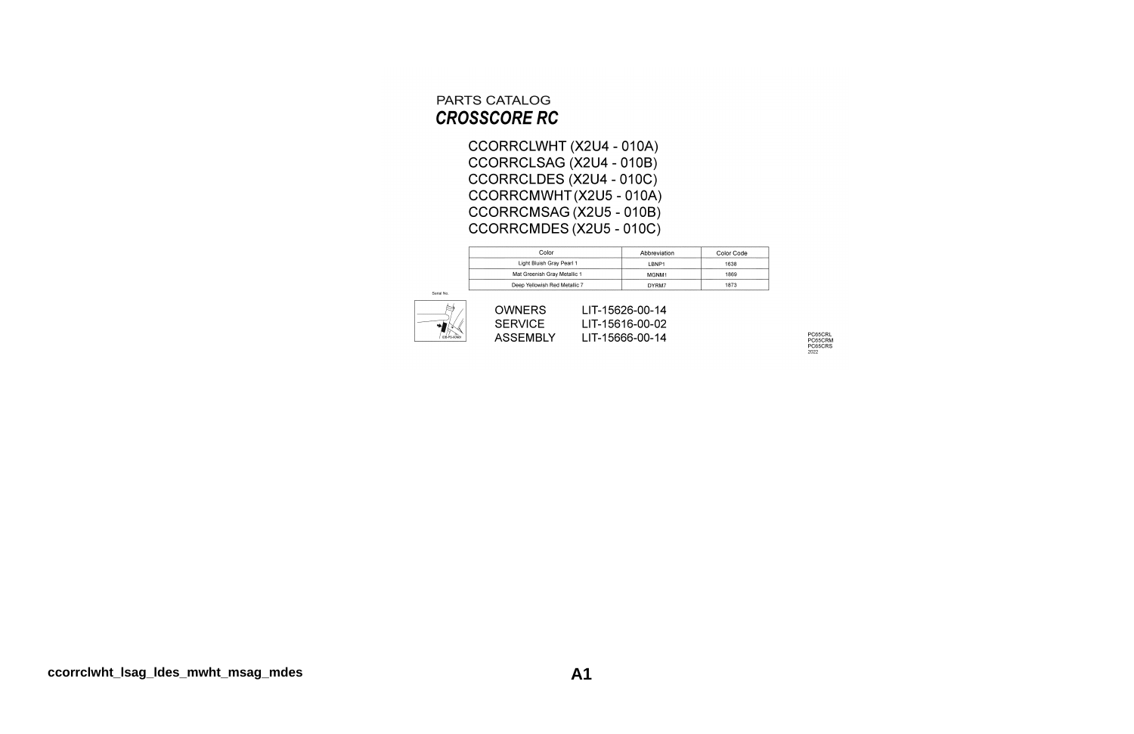#### PARTS CATALOG **CROSSCORE RC**

CCORRCLWHT (X2U4 - 010A) CCORRCLSAG (X2U4 - 010B) CCORRCLDES (X2U4 - 010C) CCORRCMWHT(X2U5 - 010A) CCORRCMSAG (X2U5 - 010B) CCORRCMDES (X2U5 - 010C)

| Color                         | Abbreviation      | Color Code |
|-------------------------------|-------------------|------------|
| Light Bluish Gray Pearl 1     | LBNP1             | 1638       |
| Mat Greenish Gray Metallic 1  | MGNM <sub>1</sub> | 1869       |
| Deep Yellowish Red Metallic 7 | DYRM7             | 1873       |



| <b>OWNERS</b>  | LIT-15626-00-14 |
|----------------|-----------------|
| <b>SERVICE</b> | LIT-15616-00-02 |
| ASSEMBLY       | LIT-15666-00-14 |

PC65CRL<br>PC65CRM<br>PC65CRS<br><sub>2022</sub>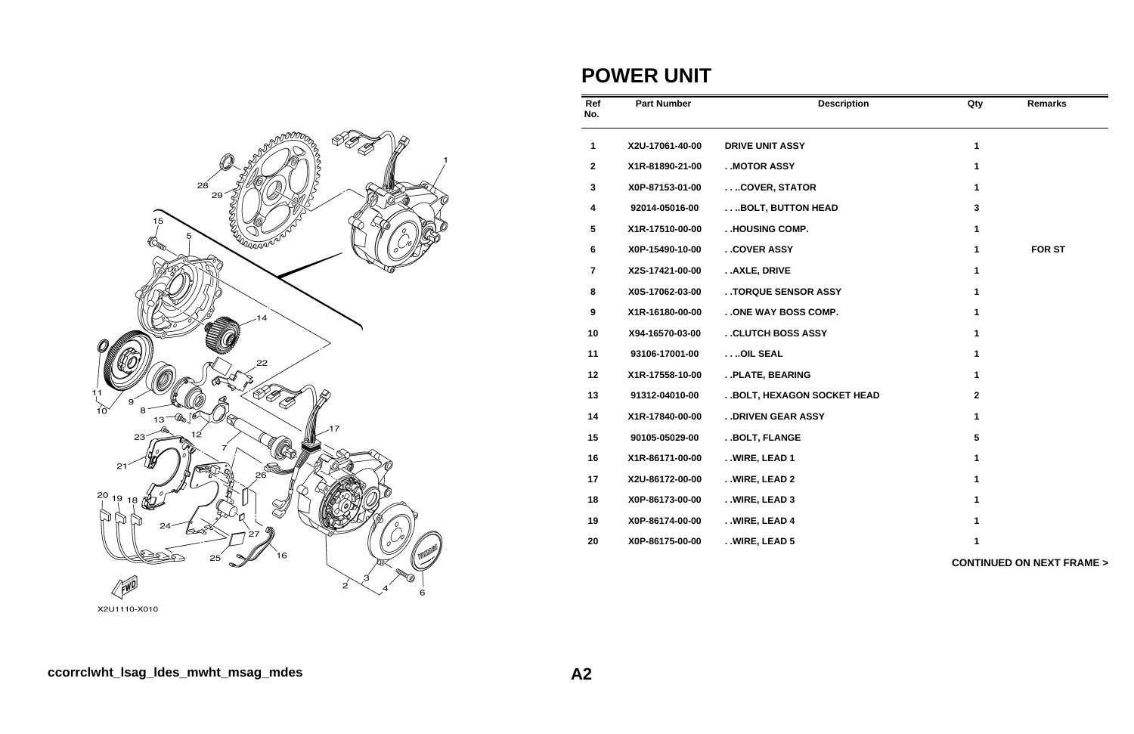

#### **POWER UNIT**

| Ref<br>No.       | <b>Part Number</b> | <b>Description</b>          | Qty                     | <b>Remarks</b>                      |
|------------------|--------------------|-----------------------------|-------------------------|-------------------------------------|
| $\mathbf{1}$     | X2U-17061-40-00    | <b>DRIVE UNIT ASSY</b>      | $\mathbf{1}$            |                                     |
| $\mathbf{2}$     | X1R-81890-21-00    | . MOTOR ASSY                | 1                       |                                     |
| $\mathbf 3$      | X0P-87153-01-00    | COVER, STATOR               | 1                       |                                     |
| $\boldsymbol{4}$ | 92014-05016-00     | BOLT, BUTTON HEAD           | 3                       |                                     |
| 5                | X1R-17510-00-00    | . .HOUSING COMP.            | 1                       |                                     |
| 6                | X0P-15490-10-00    | . . COVER ASSY              | 1                       | <b>FOR ST</b>                       |
| $\overline{7}$   | X2S-17421-00-00    | AXLE, DRIVE                 | $\mathbf{1}$            |                                     |
| 8                | X0S-17062-03-00    | . . TORQUE SENSOR ASSY      | 1                       |                                     |
| 9                | X1R-16180-00-00    | . . ONE WAY BOSS COMP.      | 1                       |                                     |
| 10               | X94-16570-03-00    | . . CLUTCH BOSS ASSY        | 1                       |                                     |
| 11               | 93106-17001-00     | OIL SEAL                    | 1                       |                                     |
| 12               | X1R-17558-10-00    | . . PLATE, BEARING          | 1                       |                                     |
| 13               | 91312-04010-00     | . BOLT, HEXAGON SOCKET HEAD | $\overline{\mathbf{2}}$ |                                     |
| 14               | X1R-17840-00-00    | . . DRIVEN GEAR ASSY        | 1                       |                                     |
| 15               | 90105-05029-00     | . . BOLT, FLANGE            | 5                       |                                     |
| 16               | X1R-86171-00-00    | . . WIRE, LEAD 1            | 1                       |                                     |
| 17               | X2U-86172-00-00    | . . WIRE, LEAD 2            | 1                       |                                     |
| 18               | X0P-86173-00-00    | . . WIRE, LEAD 3            | 1                       |                                     |
| 19               | X0P-86174-00-00    | . . WIRE, LEAD 4            | 1                       |                                     |
| 20               | X0P-86175-00-00    | WIRE, LEAD 5                | 1                       |                                     |
|                  |                    |                             |                         | <b>CONTINUED ON NEXT FRAME &gt;</b> |

X2U1110-X010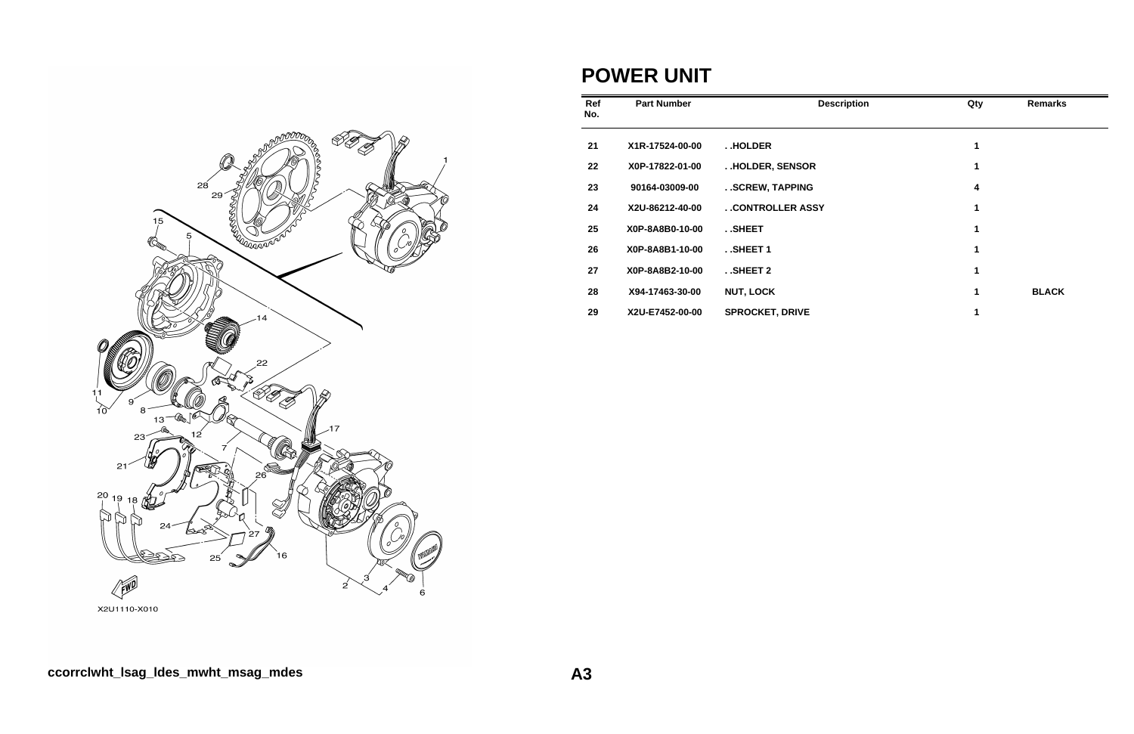

#### **POWER UNIT**

| Ref<br>No. | <b>Part Number</b> | <b>Description</b>     | Qty | <b>Remarks</b> |
|------------|--------------------|------------------------|-----|----------------|
| 21         | X1R-17524-00-00    | <b>HOLDER</b>          | 1   |                |
| 22         | X0P-17822-01-00    | . . HOLDER, SENSOR     | 1   |                |
| 23         | 90164-03009-00     | . . SCREW, TAPPING     | 4   |                |
| 24         | X2U-86212-40-00    | . . CONTROLLER ASSY    | 1   |                |
| 25         | X0P-8A8B0-10-00    | SHEET                  | 1   |                |
| 26         | X0P-8A8B1-10-00    | SHEET 1                | 1   |                |
| 27         | X0P-8A8B2-10-00    | $.$ SHEET 2            | 1   |                |
| 28         | X94-17463-30-00    | <b>NUT, LOCK</b>       | 1   | <b>BLACK</b>   |
| 29         | X2U-E7452-00-00    | <b>SPROCKET, DRIVE</b> |     |                |

X2U1110-X010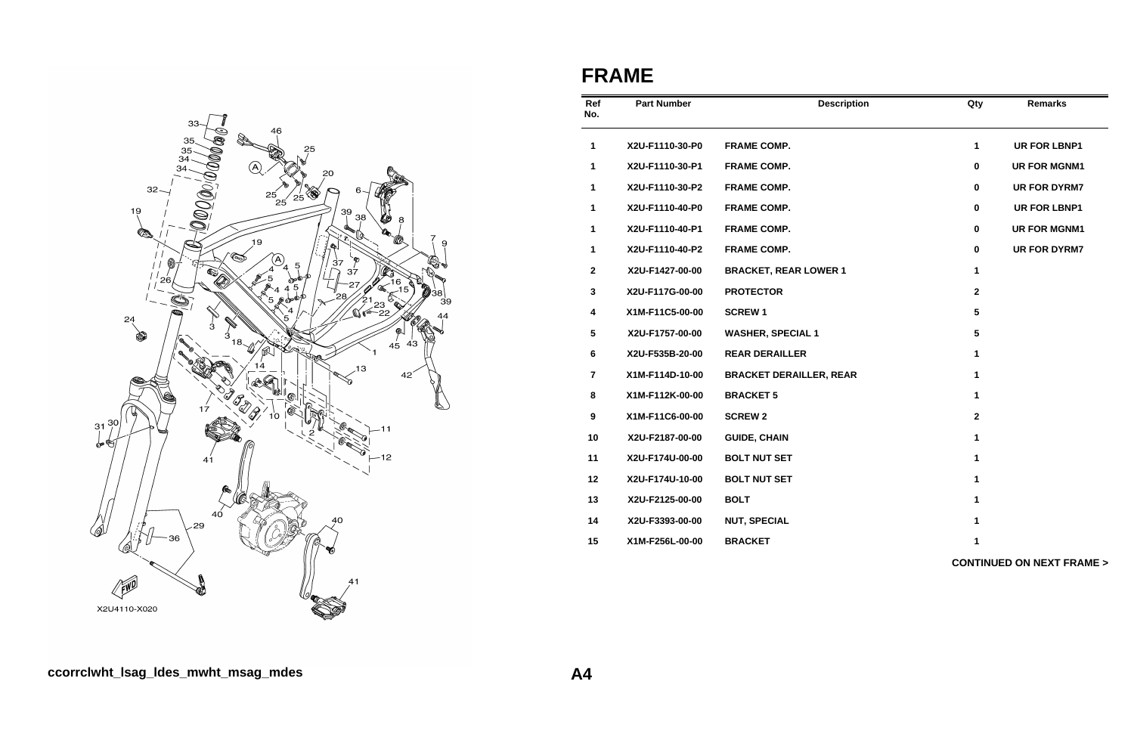

#### **FRAME**

| Ref<br>No.              | <b>Part Number</b> | <b>Description</b>             | Qty                     | <b>Remarks</b>                      |
|-------------------------|--------------------|--------------------------------|-------------------------|-------------------------------------|
| 1                       | X2U-F1110-30-P0    | <b>FRAME COMP.</b>             | 1                       | <b>UR FOR LBNP1</b>                 |
| 1                       | X2U-F1110-30-P1    | <b>FRAME COMP.</b>             | 0                       | <b>UR FOR MGNM1</b>                 |
| 1                       | X2U-F1110-30-P2    | <b>FRAME COMP.</b>             | 0                       | <b>UR FOR DYRM7</b>                 |
| 1                       | X2U-F1110-40-P0    | <b>FRAME COMP.</b>             | 0                       | <b>UR FOR LBNP1</b>                 |
| 1                       | X2U-F1110-40-P1    | <b>FRAME COMP.</b>             | 0                       | <b>UR FOR MGNM1</b>                 |
| $\mathbf{1}$            | X2U-F1110-40-P2    | <b>FRAME COMP.</b>             | 0                       | <b>UR FOR DYRM7</b>                 |
| $\mathbf{2}$            | X2U-F1427-00-00    | <b>BRACKET, REAR LOWER 1</b>   | 1                       |                                     |
| $\mathbf{3}$            | X2U-F117G-00-00    | <b>PROTECTOR</b>               | $\overline{\mathbf{2}}$ |                                     |
| $\overline{\mathbf{4}}$ | X1M-F11C5-00-00    | <b>SCREW1</b>                  | 5                       |                                     |
| $\overline{\mathbf{5}}$ | X2U-F1757-00-00    | <b>WASHER, SPECIAL 1</b>       | 5                       |                                     |
| $6\phantom{1}$          | X2U-F535B-20-00    | <b>REAR DERAILLER</b>          | 1                       |                                     |
| $\overline{\mathbf{r}}$ | X1M-F114D-10-00    | <b>BRACKET DERAILLER, REAR</b> | 1                       |                                     |
| 8                       | X1M-F112K-00-00    | <b>BRACKET 5</b>               | 1                       |                                     |
| $\boldsymbol{9}$        | X1M-F11C6-00-00    | <b>SCREW 2</b>                 | $\mathbf 2$             |                                     |
| 10                      | X2U-F2187-00-00    | <b>GUIDE, CHAIN</b>            | 1                       |                                     |
| 11                      | X2U-F174U-00-00    | <b>BOLT NUT SET</b>            | 1                       |                                     |
| 12                      | X2U-F174U-10-00    | <b>BOLT NUT SET</b>            | 1                       |                                     |
| 13                      | X2U-F2125-00-00    | <b>BOLT</b>                    | 1                       |                                     |
| 14                      | X2U-F3393-00-00    | <b>NUT, SPECIAL</b>            | 1                       |                                     |
| 15                      | X1M-F256L-00-00    | <b>BRACKET</b>                 | 1                       |                                     |
|                         |                    |                                |                         | <b>CONTINUED ON NEXT FRAME &gt;</b> |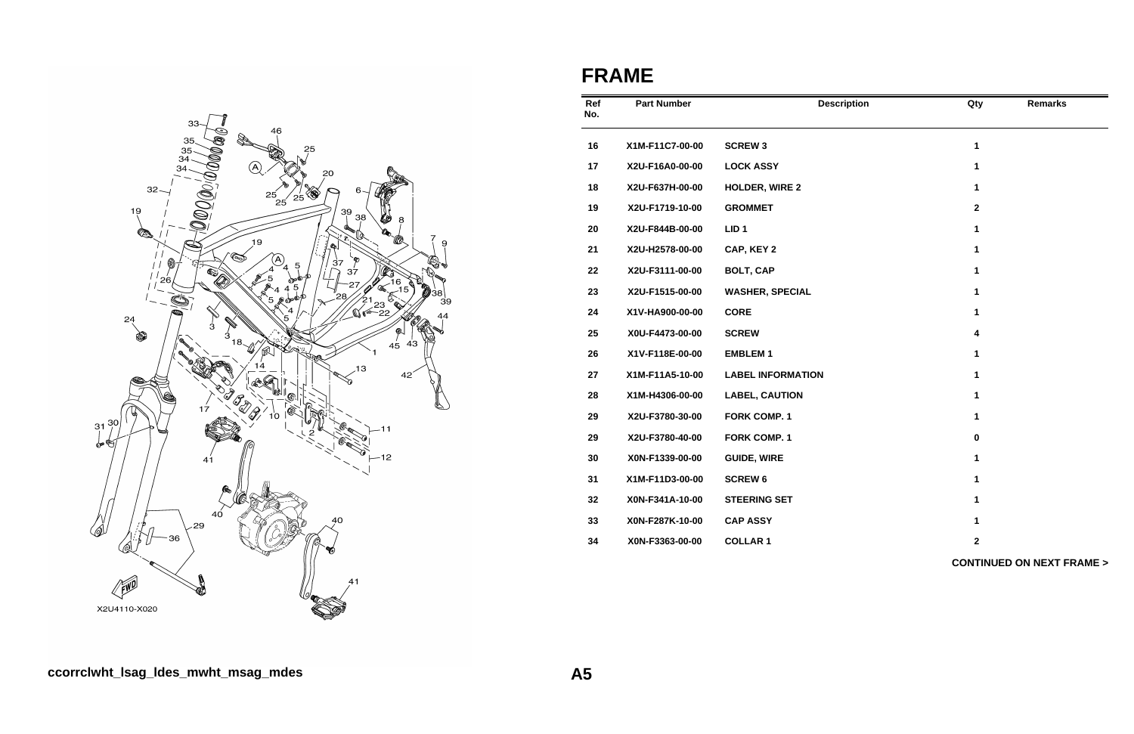

## **FRAME**

| Ref<br>No. | <b>Part Number</b> | <b>Description</b>       | Qty                     | <b>Remarks</b>                      |
|------------|--------------------|--------------------------|-------------------------|-------------------------------------|
| 16         | X1M-F11C7-00-00    | <b>SCREW 3</b>           | 1                       |                                     |
| 17         | X2U-F16A0-00-00    | <b>LOCK ASSY</b>         | 1                       |                                     |
| 18         | X2U-F637H-00-00    | <b>HOLDER, WIRE 2</b>    | 1                       |                                     |
| 19         | X2U-F1719-10-00    | <b>GROMMET</b>           | $\mathbf{2}$            |                                     |
| 20         | X2U-F844B-00-00    | LID <sub>1</sub>         | 1                       |                                     |
| 21         | X2U-H2578-00-00    | CAP, KEY 2               | 1                       |                                     |
| 22         | X2U-F3111-00-00    | <b>BOLT, CAP</b>         | 1                       |                                     |
| 23         | X2U-F1515-00-00    | <b>WASHER, SPECIAL</b>   | 1                       |                                     |
| 24         | X1V-HA900-00-00    | <b>CORE</b>              | 1                       |                                     |
| 25         | X0U-F4473-00-00    | <b>SCREW</b>             | $\overline{\mathbf{4}}$ |                                     |
| 26         | X1V-F118E-00-00    | <b>EMBLEM1</b>           | 1                       |                                     |
| 27         | X1M-F11A5-10-00    | <b>LABEL INFORMATION</b> | 1                       |                                     |
| 28         | X1M-H4306-00-00    | <b>LABEL, CAUTION</b>    | 1                       |                                     |
| 29         | X2U-F3780-30-00    | <b>FORK COMP. 1</b>      | 1                       |                                     |
| 29         | X2U-F3780-40-00    | <b>FORK COMP. 1</b>      | $\pmb{0}$               |                                     |
| 30         | X0N-F1339-00-00    | <b>GUIDE, WIRE</b>       | 1                       |                                     |
| 31         | X1M-F11D3-00-00    | <b>SCREW 6</b>           | 1                       |                                     |
| 32         | X0N-F341A-10-00    | <b>STEERING SET</b>      | 1                       |                                     |
| 33         | X0N-F287K-10-00    | <b>CAP ASSY</b>          | 1                       |                                     |
| 34         | X0N-F3363-00-00    | <b>COLLAR 1</b>          | $\mathbf 2$             |                                     |
|            |                    |                          |                         | <b>CONTINUED ON NEXT FRAME &gt;</b> |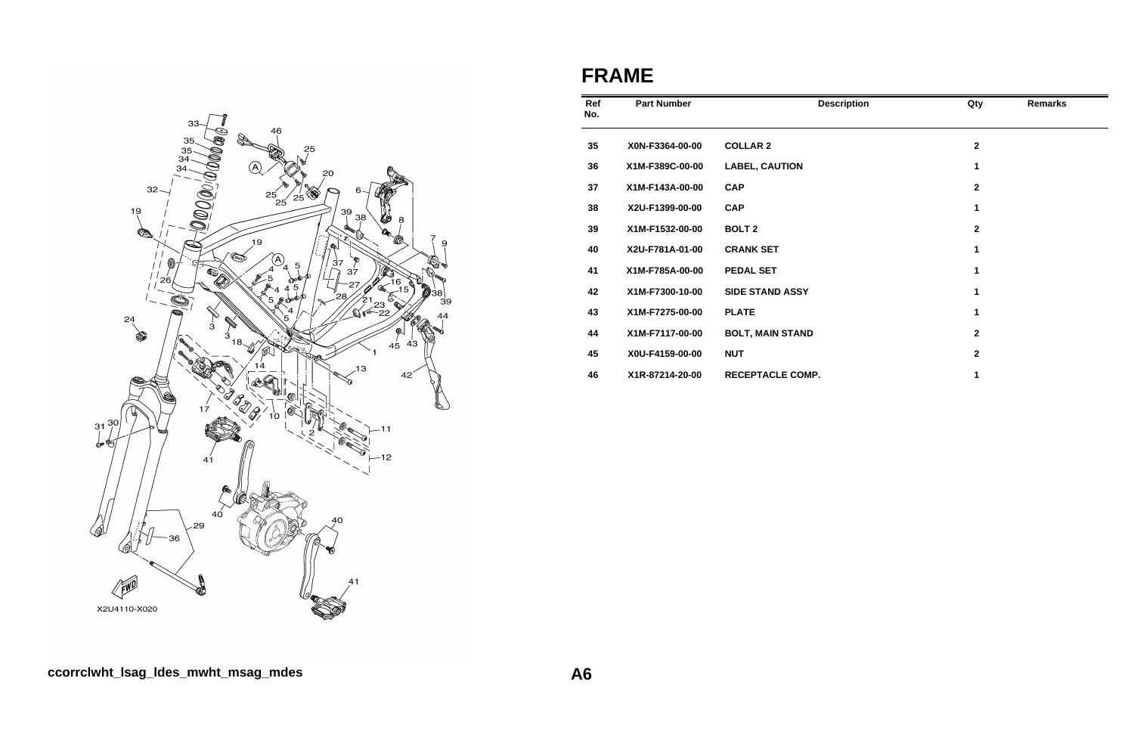

## **FRAME**

| Ref<br>No. | <b>Part Number</b> | <b>Description</b>      | Qty                     | <b>Remarks</b> |
|------------|--------------------|-------------------------|-------------------------|----------------|
| 35         | X0N-F3364-00-00    | <b>COLLAR 2</b>         | $\overline{\mathbf{2}}$ |                |
| 36         | X1M-F389C-00-00    | <b>LABEL, CAUTION</b>   | 1                       |                |
| 37         | X1M-F143A-00-00    | <b>CAP</b>              | $\mathbf 2$             |                |
| 38         | X2U-F1399-00-00    | <b>CAP</b>              | 1                       |                |
| 39         | X1M-F1532-00-00    | <b>BOLT 2</b>           | $\overline{\mathbf{2}}$ |                |
| 40         | X2U-F781A-01-00    | <b>CRANK SET</b>        | 1                       |                |
| 41         | X1M-F785A-00-00    | <b>PEDAL SET</b>        | 1                       |                |
| 42         | X1M-F7300-10-00    | <b>SIDE STAND ASSY</b>  | 1                       |                |
| 43         | X1M-F7275-00-00    | <b>PLATE</b>            | 1                       |                |
| 44         | X1M-F7117-00-00    | <b>BOLT, MAIN STAND</b> | $\mathbf{2}$            |                |
| 45         | X0U-F4159-00-00    | <b>NUT</b>              | $\overline{\mathbf{2}}$ |                |
| 46         | X1R-87214-20-00    | <b>RECEPTACLE COMP.</b> | 1                       |                |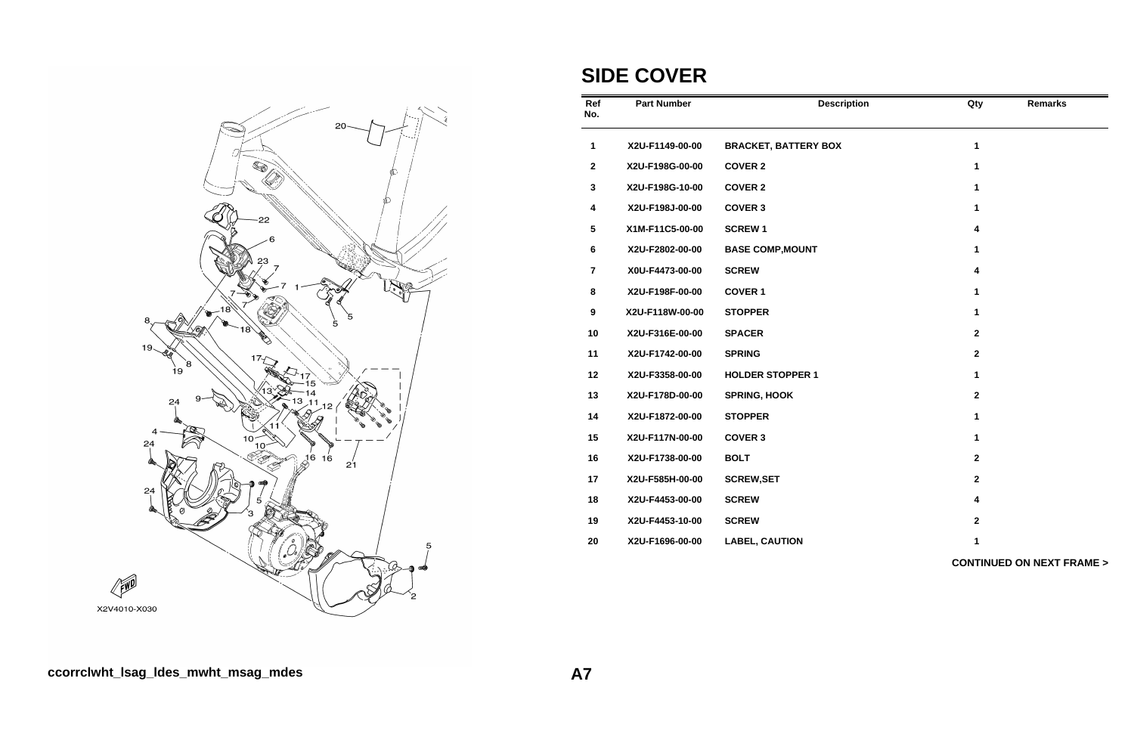

## **SIDE COVER**

| Ref<br>No.       | <b>Part Number</b> | <b>Description</b>          | Qty                     | <b>Remarks</b>                      |
|------------------|--------------------|-----------------------------|-------------------------|-------------------------------------|
| 1                | X2U-F1149-00-00    | <b>BRACKET, BATTERY BOX</b> | $\mathbf 1$             |                                     |
| $\mathbf 2$      | X2U-F198G-00-00    | <b>COVER 2</b>              | $\mathbf 1$             |                                     |
| 3                | X2U-F198G-10-00    | <b>COVER 2</b>              | $\mathbf 1$             |                                     |
| 4                | X2U-F198J-00-00    | <b>COVER 3</b>              | $\mathbf{1}$            |                                     |
| 5                | X1M-F11C5-00-00    | <b>SCREW1</b>               | 4                       |                                     |
| 6                | X2U-F2802-00-00    | <b>BASE COMP, MOUNT</b>     | 1                       |                                     |
| $\overline{7}$   | X0U-F4473-00-00    | <b>SCREW</b>                | 4                       |                                     |
| 8                | X2U-F198F-00-00    | <b>COVER 1</b>              | 1                       |                                     |
| $\boldsymbol{9}$ | X2U-F118W-00-00    | <b>STOPPER</b>              | 1                       |                                     |
| 10               | X2U-F316E-00-00    | <b>SPACER</b>               | $\overline{2}$          |                                     |
| 11               | X2U-F1742-00-00    | <b>SPRING</b>               | $\overline{\mathbf{2}}$ |                                     |
| 12               | X2U-F3358-00-00    | <b>HOLDER STOPPER 1</b>     | 1                       |                                     |
| 13               | X2U-F178D-00-00    | <b>SPRING, HOOK</b>         | $\overline{2}$          |                                     |
| 14               | X2U-F1872-00-00    | <b>STOPPER</b>              | 1                       |                                     |
| 15               | X2U-F117N-00-00    | <b>COVER 3</b>              | $\mathbf{1}$            |                                     |
| 16               | X2U-F1738-00-00    | <b>BOLT</b>                 | $\overline{2}$          |                                     |
| 17               | X2U-F585H-00-00    | <b>SCREW, SET</b>           | $\mathbf{2}$            |                                     |
| 18               | X2U-F4453-00-00    | <b>SCREW</b>                | 4                       |                                     |
| 19               | X2U-F4453-10-00    | <b>SCREW</b>                | $\mathbf{2}$            |                                     |
| 20               | X2U-F1696-00-00    | <b>LABEL, CAUTION</b>       | 1                       |                                     |
|                  |                    |                             |                         | <b>CONTINUED ON NEXT FRAME &gt;</b> |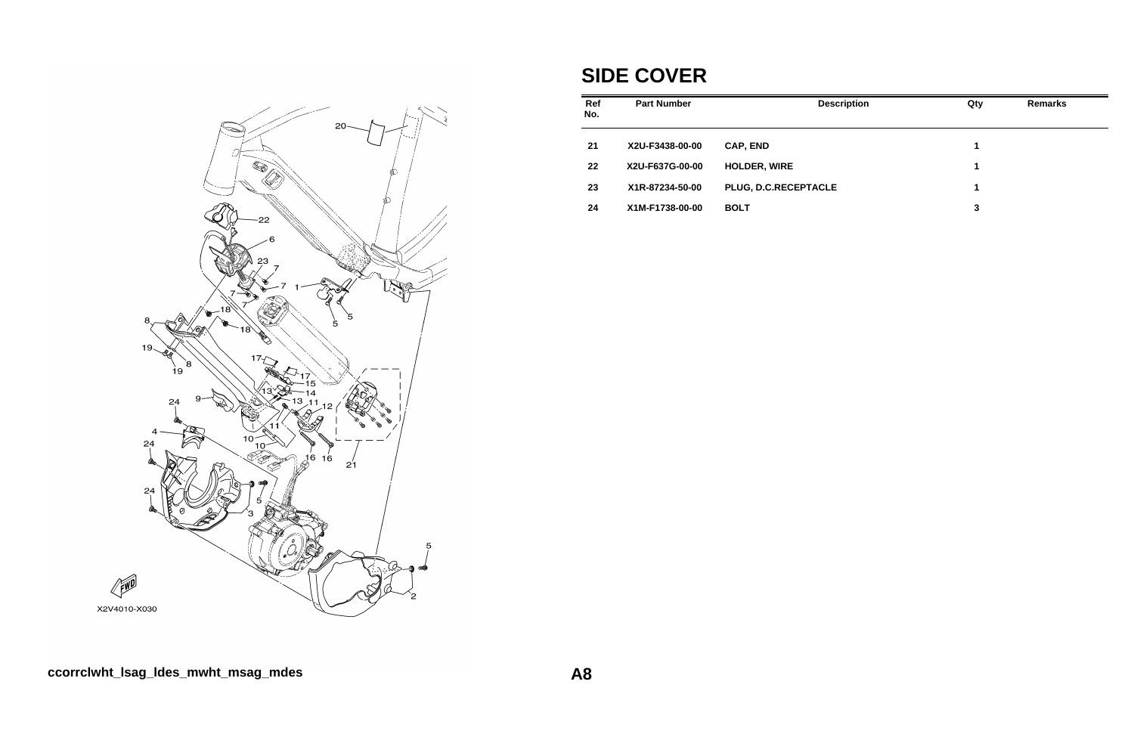

## **SIDE COVER**

| Ref<br>No. | <b>Part Number</b> | <b>Description</b>   | Qty | <b>Remarks</b> |
|------------|--------------------|----------------------|-----|----------------|
| 21         | X2U-F3438-00-00    | <b>CAP, END</b>      | 1   |                |
| 22         | X2U-F637G-00-00    | <b>HOLDER, WIRE</b>  | 1   |                |
| 23         | X1R-87234-50-00    | PLUG, D.C.RECEPTACLE | 1   |                |
| 24         | X1M-F1738-00-00    | <b>BOLT</b>          | 3   |                |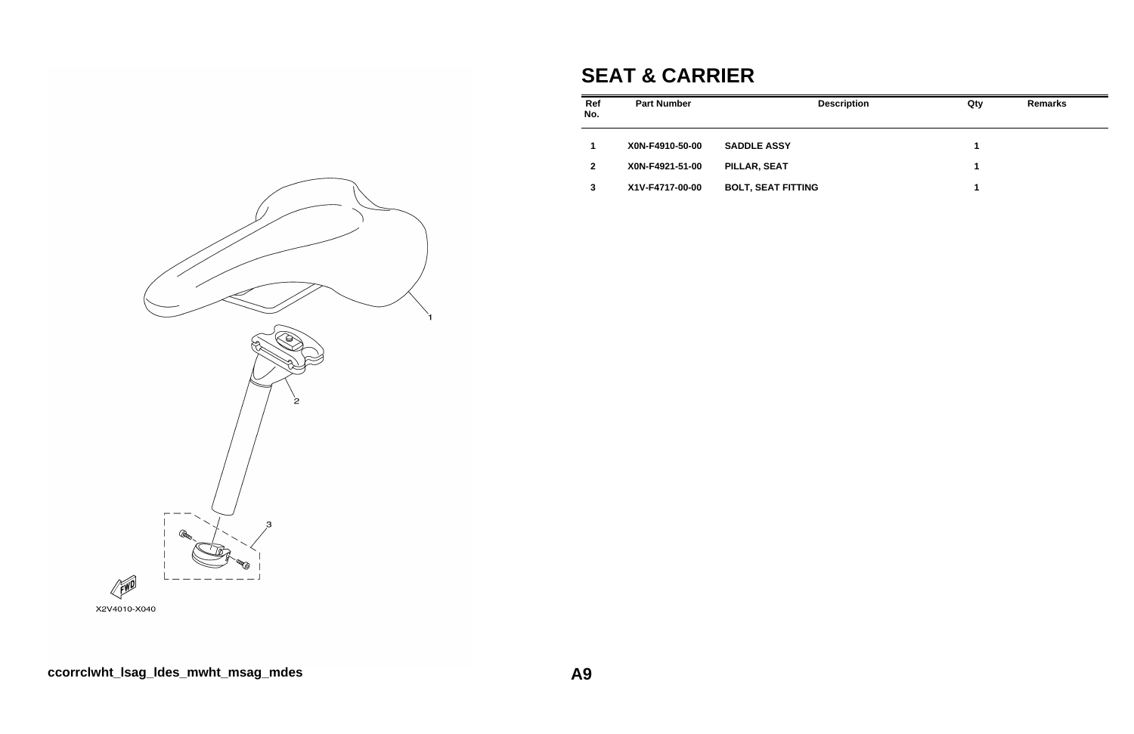## **SEAT & CARRIER**

| Ref<br>No.   | <b>Part Number</b> | <b>Description</b>        | Qty | <b>Remarks</b> |
|--------------|--------------------|---------------------------|-----|----------------|
|              | X0N-F4910-50-00    | <b>SADDLE ASSY</b>        | 1   |                |
| $\mathbf{2}$ | X0N-F4921-51-00    | PILLAR, SEAT              | 1   |                |
| 3            | X1V-F4717-00-00    | <b>BOLT, SEAT FITTING</b> | 1   |                |



X2V4010-X040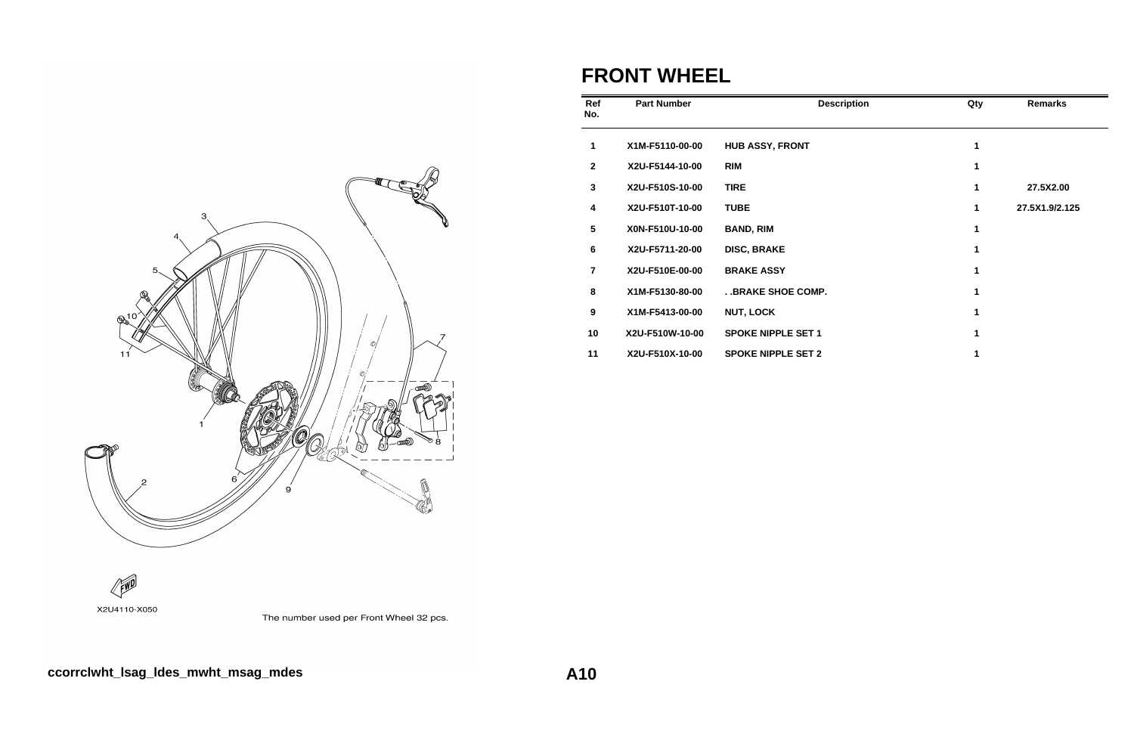

#### **FRONT WHEEL**

| Ref<br>No.      | <b>Part Number</b> | <b>Description</b>        | Qty | <b>Remarks</b> |
|-----------------|--------------------|---------------------------|-----|----------------|
| 1               | X1M-F5110-00-00    | <b>HUB ASSY, FRONT</b>    | 1   |                |
| $\mathbf{2}$    | X2U-F5144-10-00    | <b>RIM</b>                |     |                |
| 3               | X2U-F510S-10-00    | <b>TIRE</b>               | 1   | 27.5X2.00      |
| 4               | X2U-F510T-10-00    | <b>TUBE</b>               | 1   | 27.5X1.9/2.125 |
| $5\phantom{.0}$ | X0N-F510U-10-00    | <b>BAND, RIM</b>          | 1   |                |
| $6\phantom{1}$  | X2U-F5711-20-00    | <b>DISC, BRAKE</b>        | 1   |                |
| $\overline{7}$  | X2U-F510E-00-00    | <b>BRAKE ASSY</b>         | 1   |                |
| 8               | X1M-F5130-80-00    | . . BRAKE SHOE COMP.      |     |                |
| 9               | X1M-F5413-00-00    | <b>NUT, LOCK</b>          |     |                |
| 10              | X2U-F510W-10-00    | <b>SPOKE NIPPLE SET 1</b> |     |                |
| 11              | X2U-F510X-10-00    | <b>SPOKE NIPPLE SET 2</b> |     |                |



The number used per Front Wheel 32 pcs.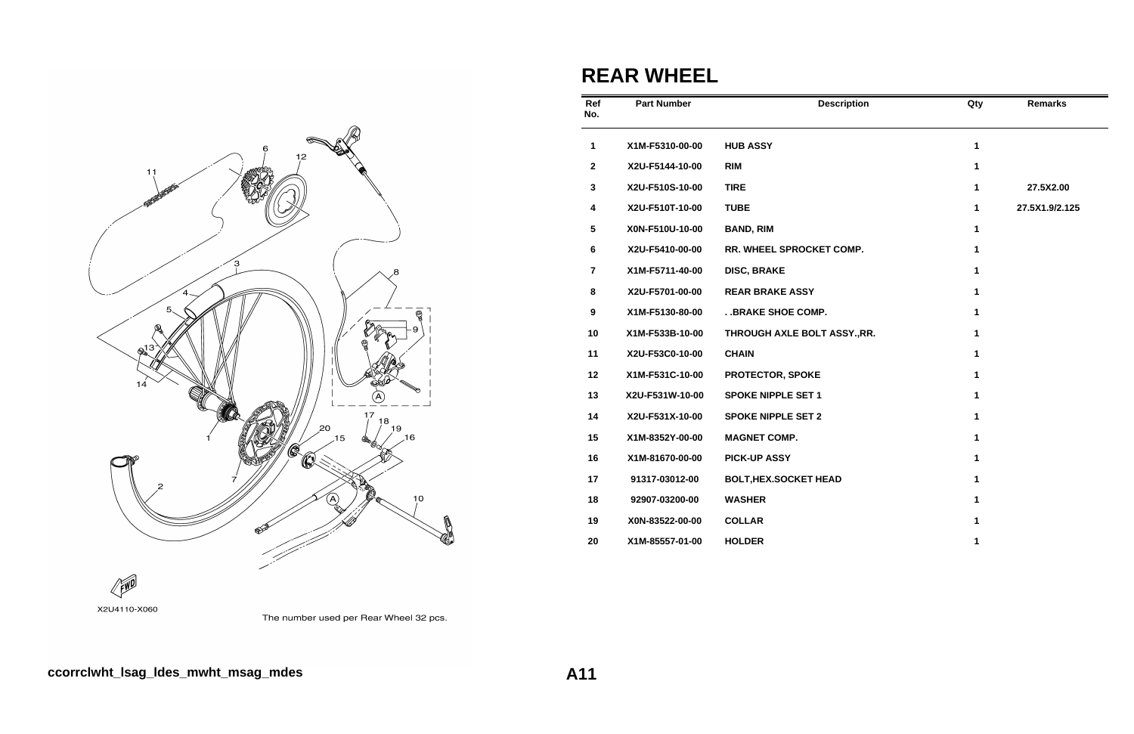

## **REAR WHEEL**

| Ref<br>No.              | <b>Part Number</b> | <b>Description</b>           | Qty          | <b>Remarks</b> |
|-------------------------|--------------------|------------------------------|--------------|----------------|
| $\mathbf{1}$            | X1M-F5310-00-00    | <b>HUB ASSY</b>              | $\mathbf{1}$ |                |
| $\mathbf{2}$            | X2U-F5144-10-00    | <b>RIM</b>                   | $\mathbf{1}$ |                |
| $\mathbf 3$             | X2U-F510S-10-00    | <b>TIRE</b>                  | $\mathbf{1}$ | 27.5X2.00      |
| $\overline{\mathbf{4}}$ | X2U-F510T-10-00    | <b>TUBE</b>                  | $\mathbf{1}$ | 27.5X1.9/2.125 |
| $\sqrt{5}$              | X0N-F510U-10-00    | <b>BAND, RIM</b>             | 1            |                |
| 6                       | X2U-F5410-00-00    | RR. WHEEL SPROCKET COMP.     | $\mathbf{1}$ |                |
| $\overline{\mathbf{r}}$ | X1M-F5711-40-00    | <b>DISC, BRAKE</b>           | 1            |                |
| $\bf 8$                 | X2U-F5701-00-00    | <b>REAR BRAKE ASSY</b>       | 1            |                |
| $\boldsymbol{9}$        | X1M-F5130-80-00    | . . BRAKE SHOE COMP.         | 1            |                |
| 10                      | X1M-F533B-10-00    | THROUGH AXLE BOLT ASSY., RR. | $\mathbf{1}$ |                |
| 11                      | X2U-F53C0-10-00    | <b>CHAIN</b>                 | 1            |                |
| 12                      | X1M-F531C-10-00    | PROTECTOR, SPOKE             | 1            |                |
| 13                      | X2U-F531W-10-00    | <b>SPOKE NIPPLE SET 1</b>    | $\mathbf{1}$ |                |
| 14                      | X2U-F531X-10-00    | <b>SPOKE NIPPLE SET 2</b>    | $\mathbf{1}$ |                |
| 15                      | X1M-8352Y-00-00    | <b>MAGNET COMP.</b>          | 1            |                |
| 16                      | X1M-81670-00-00    | <b>PICK-UP ASSY</b>          | 1            |                |
| 17                      | 91317-03012-00     | <b>BOLT, HEX.SOCKET HEAD</b> | $\mathbf 1$  |                |
| 18                      | 92907-03200-00     | <b>WASHER</b>                | 1            |                |
| 19                      | X0N-83522-00-00    | <b>COLLAR</b>                | 1            |                |
| 20                      | X1M-85557-01-00    | <b>HOLDER</b>                | 1            |                |



The number used per Rear Wheel 32 pcs.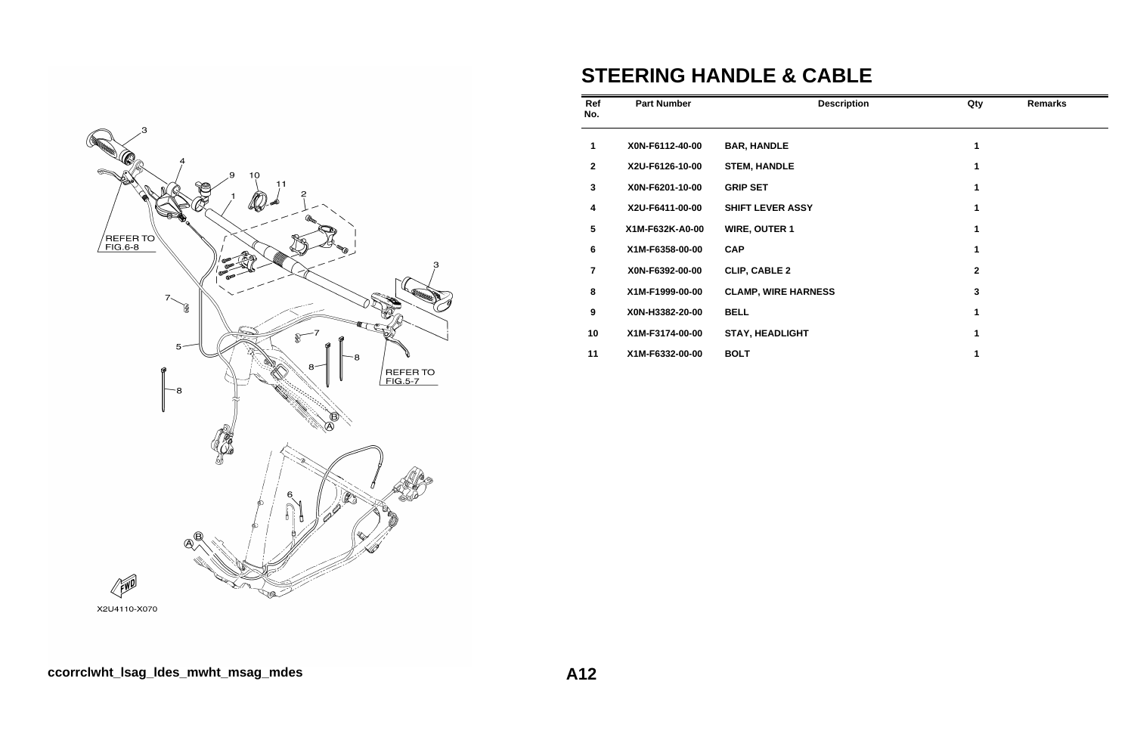

# **STEERING HANDLE & CABLE**

| Ref<br>No.      | <b>Part Number</b> | <b>Description</b>         | Qty         | <b>Remarks</b> |
|-----------------|--------------------|----------------------------|-------------|----------------|
| 1               | X0N-F6112-40-00    | <b>BAR, HANDLE</b>         | 1           |                |
| $\overline{2}$  | X2U-F6126-10-00    | <b>STEM, HANDLE</b>        | 1           |                |
| $\mathbf{3}$    | X0N-F6201-10-00    | <b>GRIP SET</b>            | 1           |                |
| 4               | X2U-F6411-00-00    | <b>SHIFT LEVER ASSY</b>    | 1           |                |
| $5\phantom{.0}$ | X1M-F632K-A0-00    | <b>WIRE, OUTER 1</b>       | 1           |                |
| 6               | X1M-F6358-00-00    | <b>CAP</b>                 | 1           |                |
| $\overline{7}$  | X0N-F6392-00-00    | <b>CLIP, CABLE 2</b>       | $\mathbf 2$ |                |
| 8               | X1M-F1999-00-00    | <b>CLAMP, WIRE HARNESS</b> | 3           |                |
| 9               | X0N-H3382-20-00    | <b>BELL</b>                | 1           |                |
| 10              | X1M-F3174-00-00    | <b>STAY, HEADLIGHT</b>     | 1           |                |
| 11              | X1M-F6332-00-00    | <b>BOLT</b>                | 1           |                |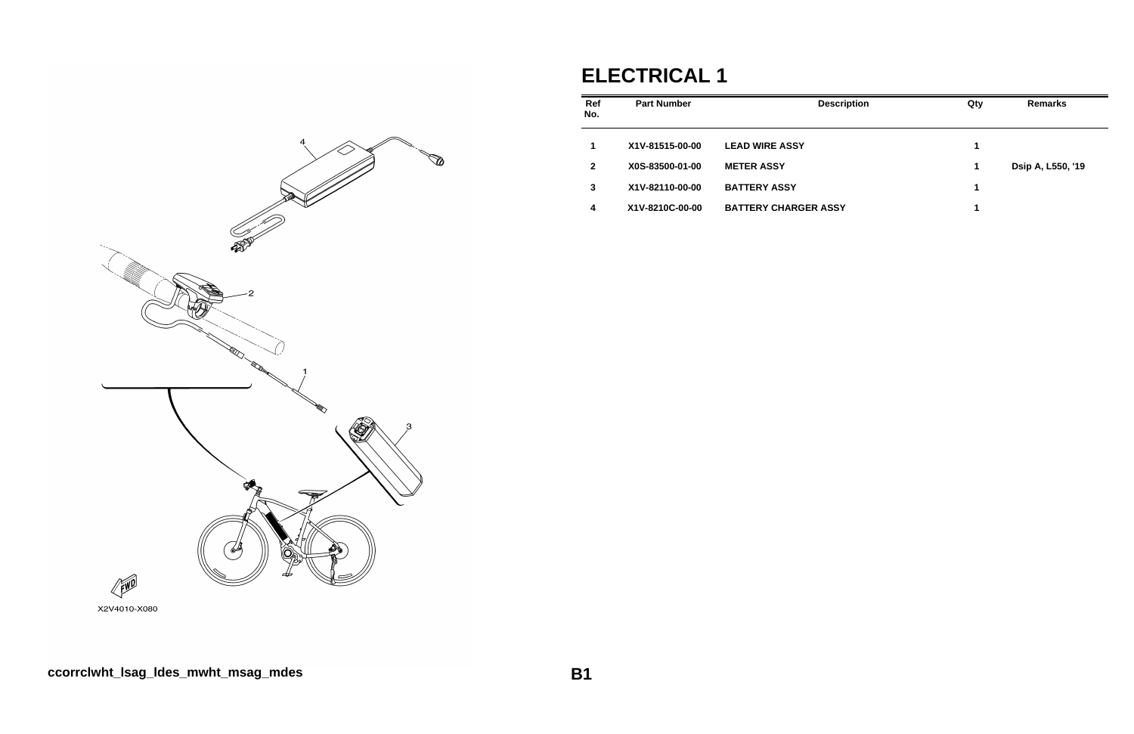#### **ELECTRICAL 1 Ref No. Part Number Designation Contract Contract Contract Contract Contract Contract Contract Contract Contract Contract Contract Contract Contract Contract Contract Contract Contract Contract Contract Contract Contract Contract 1 X1V-81515-00-00 LEAD WIRE ASSY 1** 2 X0S-83500-01-00 METER ASSY **3 X1V-82110-00-00 BATTERY ASSY 1 4 X1V-8210C-00-00 BATTERY CHARGER ASSY 1**



| scription | Qty | <b>Remarks</b>    |
|-----------|-----|-------------------|
|           | 1   |                   |
|           | 1   | Dsip A, L550, '19 |
|           | 1   |                   |
| SY        | 1   |                   |
|           |     |                   |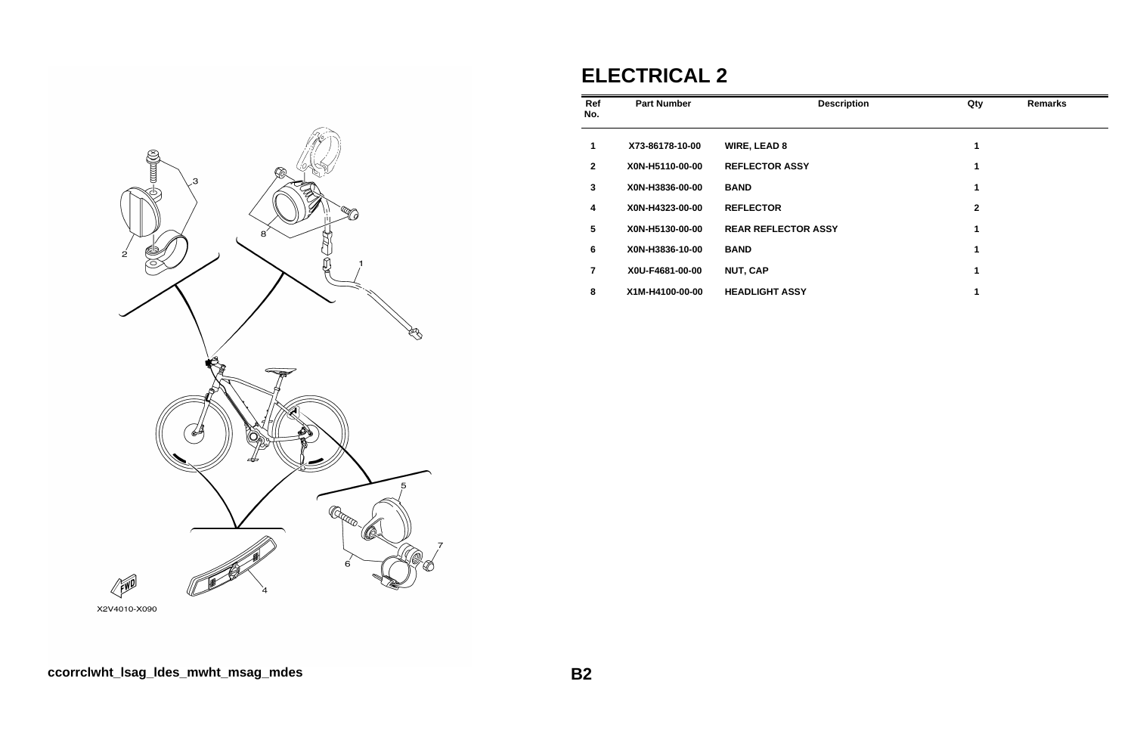

## **ELECTRICAL 2**

| Ref<br>No.   | <b>Part Number</b> | <b>Description</b>         | Qty          | <b>Remarks</b> |
|--------------|--------------------|----------------------------|--------------|----------------|
| $\mathbf 1$  | X73-86178-10-00    | <b>WIRE, LEAD 8</b>        | 1            |                |
| $\mathbf{2}$ | X0N-H5110-00-00    | <b>REFLECTOR ASSY</b>      | 1            |                |
| 3            | X0N-H3836-00-00    | <b>BAND</b>                | 1            |                |
| 4            | X0N-H4323-00-00    | <b>REFLECTOR</b>           | $\mathbf{2}$ |                |
| 5            | X0N-H5130-00-00    | <b>REAR REFLECTOR ASSY</b> | 1            |                |
| 6            | X0N-H3836-10-00    | <b>BAND</b>                | 1            |                |
| 7            | X0U-F4681-00-00    | <b>NUT, CAP</b>            | 1            |                |
| 8            | X1M-H4100-00-00    | <b>HEADLIGHT ASSY</b>      | 1            |                |

X2V4010-X090